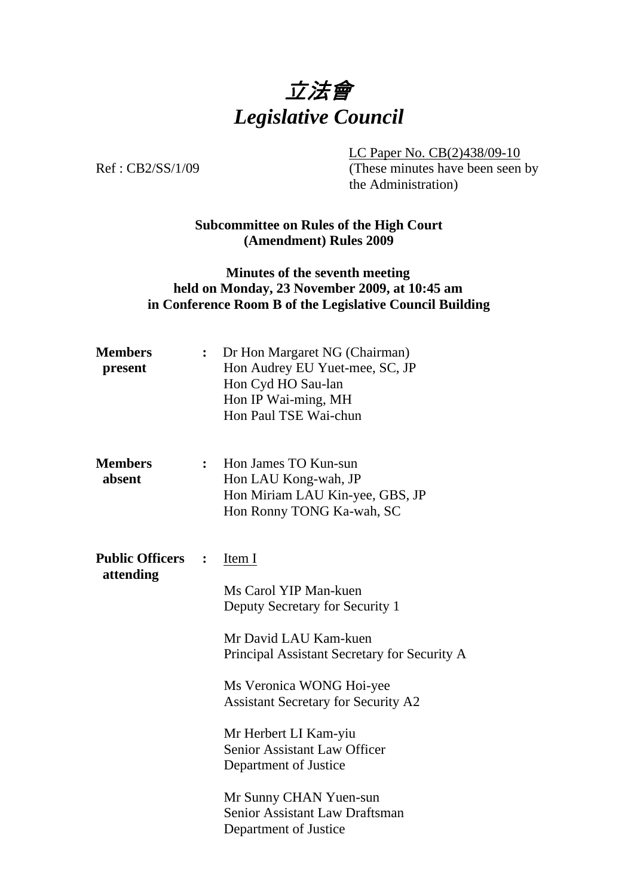

LC Paper No. CB(2)438/09-10

Ref : CB2/SS/1/09 (These minutes have been seen by the Administration)

## **Subcommittee on Rules of the High Court (Amendment) Rules 2009**

### **Minutes of the seventh meeting held on Monday, 23 November 2009, at 10:45 am in Conference Room B of the Legislative Council Building**

| <b>Members</b><br>present           | :              | Dr Hon Margaret NG (Chairman)<br>Hon Audrey EU Yuet-mee, SC, JP<br>Hon Cyd HO Sau-lan<br>Hon IP Wai-ming, MH<br>Hon Paul TSE Wai-chun           |
|-------------------------------------|----------------|-------------------------------------------------------------------------------------------------------------------------------------------------|
| <b>Members</b><br>absent            | $\ddot{\cdot}$ | Hon James TO Kun-sun<br>Hon LAU Kong-wah, JP<br>Hon Miriam LAU Kin-yee, GBS, JP<br>Hon Ronny TONG Ka-wah, SC                                    |
| <b>Public Officers</b><br>attending | $\ddot{\cdot}$ | Item I<br>Ms Carol YIP Man-kuen<br>Deputy Secretary for Security 1                                                                              |
|                                     |                | Mr David LAU Kam-kuen<br>Principal Assistant Secretary for Security A<br>Ms Veronica WONG Hoi-yee<br><b>Assistant Secretary for Security A2</b> |
|                                     |                | Mr Herbert LI Kam-yiu<br><b>Senior Assistant Law Officer</b><br>Department of Justice                                                           |
|                                     |                | Mr Sunny CHAN Yuen-sun<br><b>Senior Assistant Law Draftsman</b><br>Department of Justice                                                        |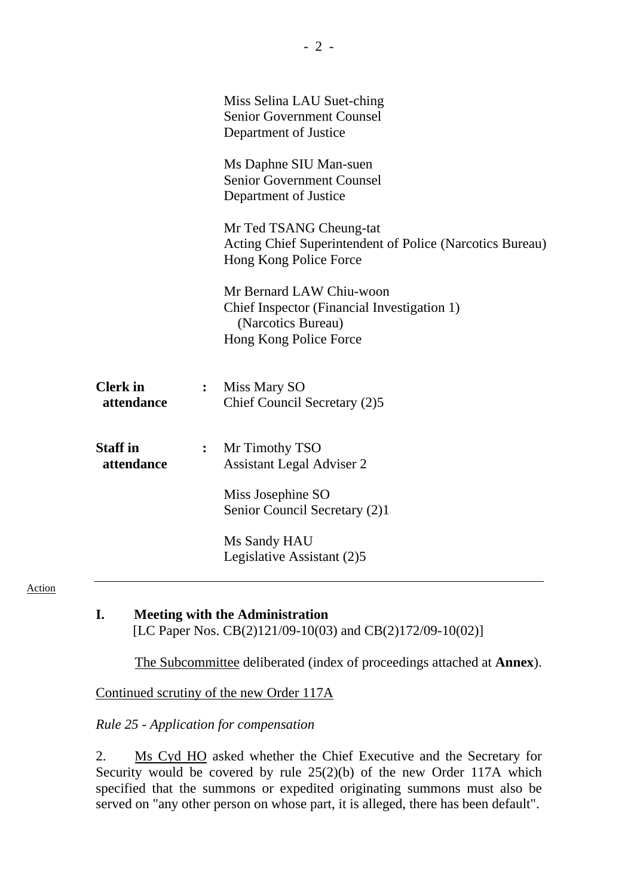|                               |                | Miss Selina LAU Suet-ching<br><b>Senior Government Counsel</b><br>Department of Justice                                 |
|-------------------------------|----------------|-------------------------------------------------------------------------------------------------------------------------|
|                               |                | Ms Daphne SIU Man-suen<br><b>Senior Government Counsel</b><br>Department of Justice                                     |
|                               |                | Mr Ted TSANG Cheung-tat<br>Acting Chief Superintendent of Police (Narcotics Bureau)<br>Hong Kong Police Force           |
|                               |                | Mr Bernard LAW Chiu-woon<br>Chief Inspector (Financial Investigation 1)<br>(Narcotics Bureau)<br>Hong Kong Police Force |
| <b>Clerk</b> in<br>attendance | $\ddot{\cdot}$ | Miss Mary SO<br>Chief Council Secretary (2)5                                                                            |
| <b>Staff</b> in<br>attendance | $\ddot{\cdot}$ | Mr Timothy TSO<br><b>Assistant Legal Adviser 2</b>                                                                      |
|                               |                | Miss Josephine SO<br>Senior Council Secretary (2)1                                                                      |
|                               |                | Ms Sandy HAU<br>Legislative Assistant (2)5                                                                              |
|                               |                |                                                                                                                         |

#### Action

### **I. Meeting with the Administration**

[LC Paper Nos. CB(2)121/09-10(03) and CB(2)172/09-10(02)]

1. The Subcommittee deliberated (index of proceedings attached at **Annex**).

Continued scrutiny of the new Order 117A

#### *Rule 25 - Application for compensation*

2. Ms Cyd HO asked whether the Chief Executive and the Secretary for Security would be covered by rule 25(2)(b) of the new Order 117A which specified that the summons or expedited originating summons must also be served on "any other person on whose part, it is alleged, there has been default".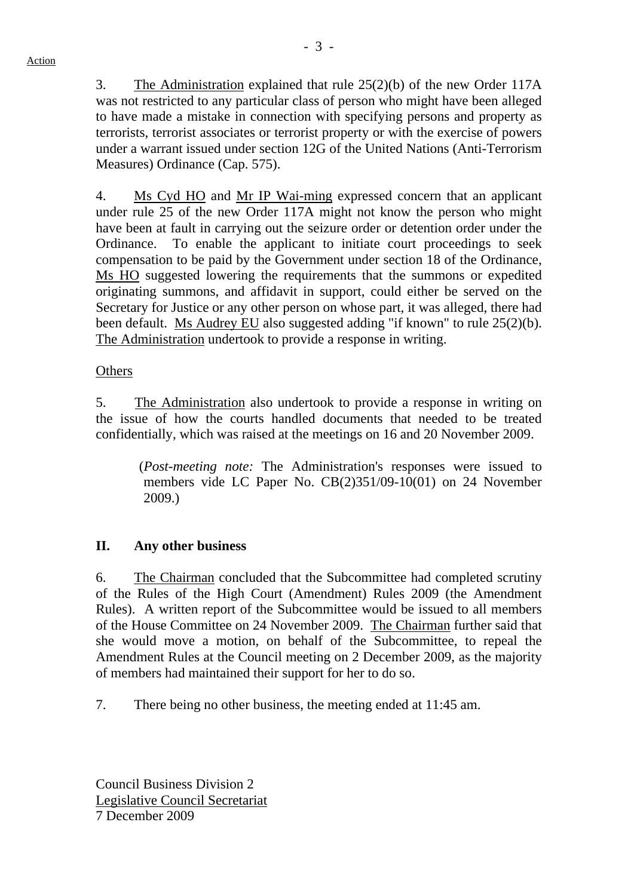Action

3. The Administration explained that rule 25(2)(b) of the new Order 117A was not restricted to any particular class of person who might have been alleged to have made a mistake in connection with specifying persons and property as terrorists, terrorist associates or terrorist property or with the exercise of powers under a warrant issued under section 12G of the United Nations (Anti-Terrorism Measures) Ordinance (Cap. 575).

4. Ms Cyd HO and Mr IP Wai-ming expressed concern that an applicant under rule 25 of the new Order 117A might not know the person who might have been at fault in carrying out the seizure order or detention order under the Ordinance. To enable the applicant to initiate court proceedings to seek compensation to be paid by the Government under section 18 of the Ordinance, Ms HO suggested lowering the requirements that the summons or expedited originating summons, and affidavit in support, could either be served on the Secretary for Justice or any other person on whose part, it was alleged, there had been default. Ms Audrey EU also suggested adding "if known" to rule 25(2)(b). The Administration undertook to provide a response in writing.

# **Others**

5. The Administration also undertook to provide a response in writing on the issue of how the courts handled documents that needed to be treated confidentially, which was raised at the meetings on 16 and 20 November 2009.

 (*Post-meeting note:* The Administration's responses were issued to members vide LC Paper No. CB(2)351/09-10(01) on 24 November 2009.)

# **II. Any other business**

6. The Chairman concluded that the Subcommittee had completed scrutiny of the Rules of the High Court (Amendment) Rules 2009 (the Amendment Rules). A written report of the Subcommittee would be issued to all members of the House Committee on 24 November 2009. The Chairman further said that she would move a motion, on behalf of the Subcommittee, to repeal the Amendment Rules at the Council meeting on 2 December 2009, as the majority of members had maintained their support for her to do so.

7. There being no other business, the meeting ended at 11:45 am.

Council Business Division 2 Legislative Council Secretariat 7 December 2009